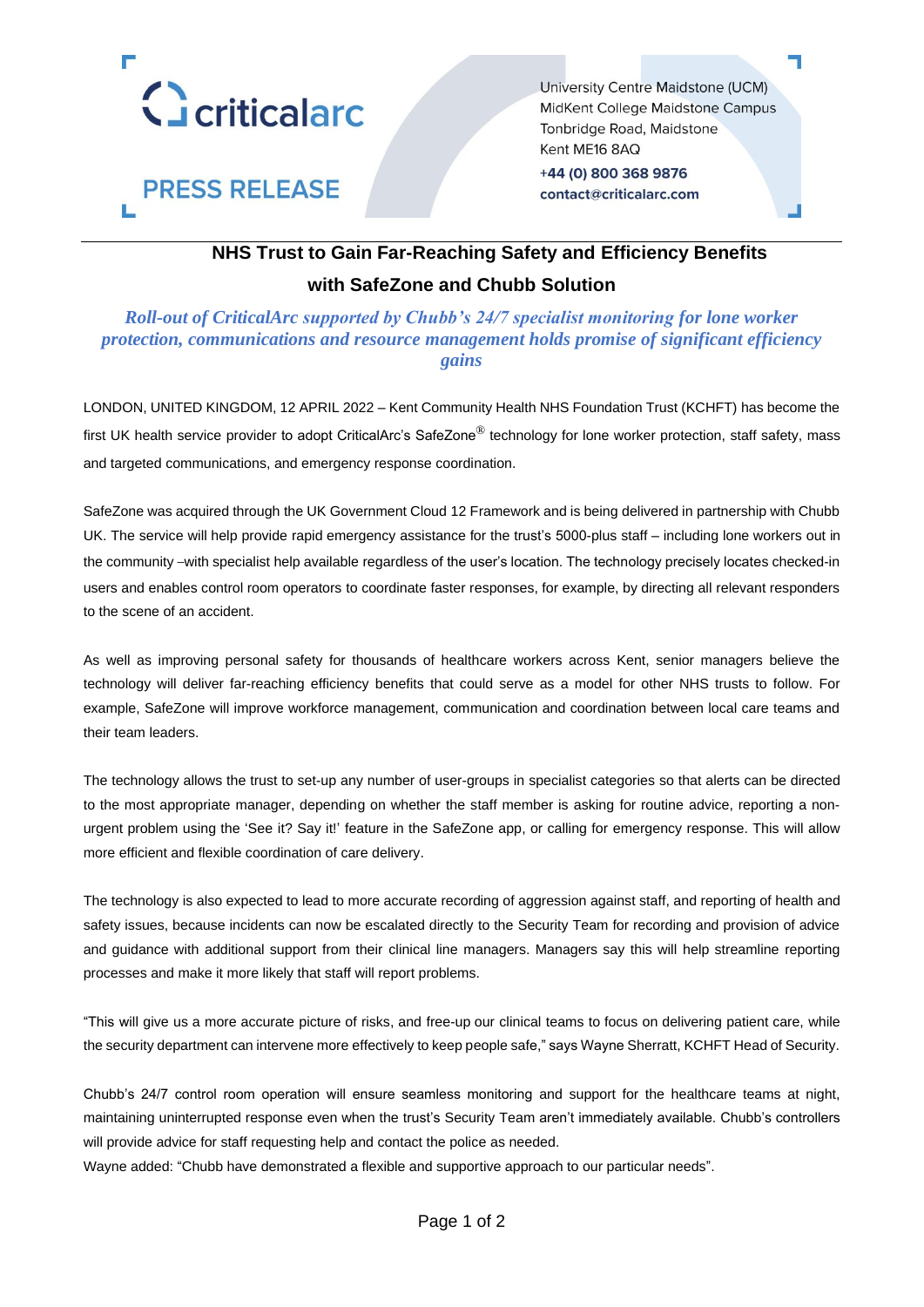

**PRESS RELEASE** 

University Centre Maidstone (UCM) MidKent College Maidstone Campus Tonbridge Road, Maidstone Kent ME16 8AQ +44 (0) 800 368 9876 contact@criticalarc.com

## **NHS Trust to Gain Far-Reaching Safety and Efficiency Benefits with SafeZone and Chubb Solution**

### *Roll-out of CriticalArc supported by Chubb's 24/7 specialist monitoring for lone worker protection, communications and resource management holds promise of significant efficiency gains*

LONDON, UNITED KINGDOM, 12 APRIL 2022 – Kent Community Health NHS Foundation Trust (KCHFT) has become the first UK health service provider to adopt CriticalArc's SafeZone<sup>®</sup> technology for lone worker protection, staff safety, mass and targeted communications, and emergency response coordination.

SafeZone was acquired through the UK Government Cloud 12 Framework and is being delivered in partnership with Chubb UK. The service will help provide rapid emergency assistance for the trust's 5000-plus staff – including lone workers out in the community –with specialist help available regardless of the user's location. The technology precisely locates checked-in users and enables control room operators to coordinate faster responses, for example, by directing all relevant responders to the scene of an accident.

As well as improving personal safety for thousands of healthcare workers across Kent, senior managers believe the technology will deliver far-reaching efficiency benefits that could serve as a model for other NHS trusts to follow. For example, SafeZone will improve workforce management, communication and coordination between local care teams and their team leaders.

The technology allows the trust to set-up any number of user-groups in specialist categories so that alerts can be directed to the most appropriate manager, depending on whether the staff member is asking for routine advice, reporting a nonurgent problem using the 'See it? Say it!' feature in the SafeZone app, or calling for emergency response. This will allow more efficient and flexible coordination of care delivery.

The technology is also expected to lead to more accurate recording of aggression against staff, and reporting of health and safety issues, because incidents can now be escalated directly to the Security Team for recording and provision of advice and guidance with additional support from their clinical line managers. Managers say this will help streamline reporting processes and make it more likely that staff will report problems.

"This will give us a more accurate picture of risks, and free-up our clinical teams to focus on delivering patient care, while the security department can intervene more effectively to keep people safe," says Wayne Sherratt, KCHFT Head of Security.

Chubb's 24/7 control room operation will ensure seamless monitoring and support for the healthcare teams at night, maintaining uninterrupted response even when the trust's Security Team aren't immediately available. Chubb's controllers will provide advice for staff requesting help and contact the police as needed.

Wayne added: "Chubb have demonstrated a flexible and supportive approach to our particular needs".